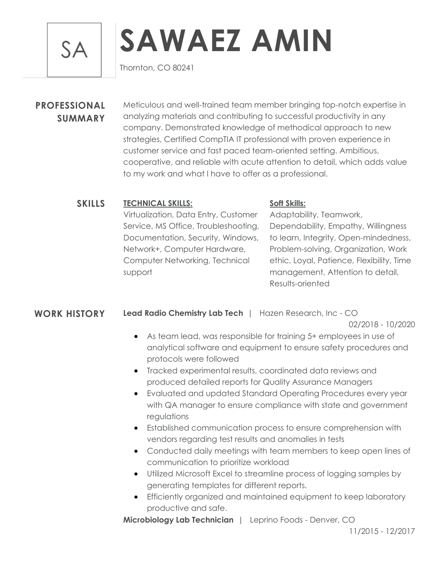**SA** 

# **SAWAEZ AMIN**

Thornton, CO 80241

## **PROFESSIONAL SUMMARY**

Meticulous and well-trained team member bringing top-notch expertise in analyzing materials and contributing to successful productivity in any company. Demonstrated knowledge of methodical approach to new strategies, Certified CompTIA IT professional with proven experience in customer service and fast paced team-oriented setting. Ambitious, cooperative, and reliable with acute attention to detail, which adds value to my work and what I have to offer as a professional.

### **SKILLS TECHNICAL SKILLS:**

Virtualization, Data Entry, Customer Service, MS Office, Troubleshooting, Documentation, Security, Windows, Network+, Computer Hardware, Computer Networking, Technical support

#### **Soft Skills:**

Adaptability, Teamwork, Dependability, Empathy, Willingness to learn, Integrity, Open-mindedness, Problem-solving, Organization, Work ethic, Loyal, Patience, Flexibility, Time management, Attention to detail, Results-oriented

#### **WORK HISTORY Lead Radio Chemistry Lab Tech** | Hazen Research, Inc - CO

02/2018 - 10/2020

- As team lead, was responsible for training 5+ employees in use of analytical software and equipment to ensure safety procedures and protocols were followed
- Tracked experimental results, coordinated data reviews and produced detailed reports for Quality Assurance Managers
- Evaluated and updated Standard Operating Procedures every year with QA manager to ensure compliance with state and government regulations
- Established communication process to ensure comprehension with vendors regarding test results and anomalies in tests
- Conducted daily meetings with team members to keep open lines of communication to prioritize workload
- Utilized Microsoft Excel to streamline process of logging samples by generating templates for different reports.
- Efficiently organized and maintained equipment to keep laboratory productive and safe.

**Microbiology Lab Technician** | Leprino Foods - Denver, CO